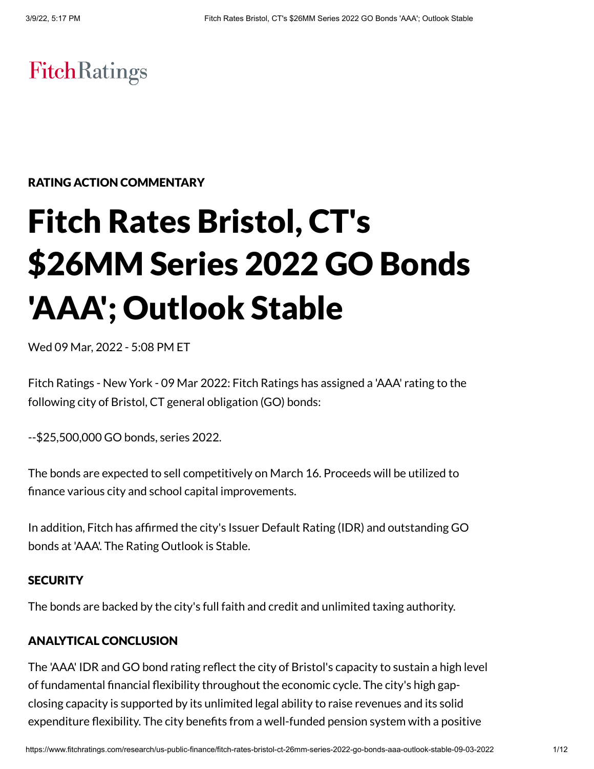# **FitchRatings**

# RATING ACTION COMMENTARY

# Fitch Rates Bristol, CT's \$26MM Series 2022 GO Bonds 'AAA'; Outlook Stable

Wed 09 Mar, 2022 - 5:08 PM ET

Fitch Ratings - New York - 09 Mar 2022: Fitch Ratings has assigned a 'AAA' rating to the following city of Bristol, CT general obligation (GO) bonds:

--\$25,500,000 GO bonds, series 2022.

The bonds are expected to sell competitively on March 16. Proceeds will be utilized to finance various city and school capital improvements.

In addition, Fitch has affirmed the city's Issuer Default Rating (IDR) and outstanding GO bonds at 'AAA'. The Rating Outlook is Stable.

# **SECURITY**

The bonds are backed by the city's full faith and credit and unlimited taxing authority.

# ANALYTICAL CONCLUSION

The 'AAA' IDR and GO bond rating reflect the city of Bristol's capacity to sustain a high level of fundamental financial flexibility throughout the economic cycle. The city's high gapclosing capacity is supported by its unlimited legal ability to raise revenues and its solid expenditure flexibility. The city benefits from a well-funded pension system with a positive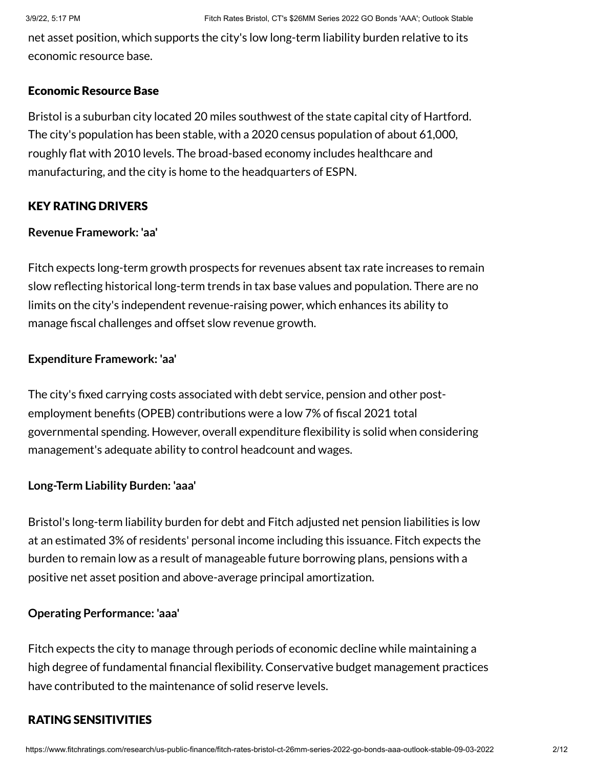net asset position, which supports the city's low long-term liability burden relative to its economic resource base.

### Economic Resource Base

Bristol is a suburban city located 20 miles southwest of the state capital city of Hartford. The city's population has been stable, with a 2020 census population of about 61,000, roughly flat with 2010 levels. The broad-based economy includes healthcare and manufacturing, and the city is home to the headquarters of ESPN.

# KEY RATING DRIVERS

# **Revenue Framework: 'aa'**

Fitch expects long-term growth prospects for revenues absent tax rate increases to remain slow reflecting historical long-term trends in tax base values and population. There are no limits on the city's independent revenue-raising power, which enhances its ability to manage fiscal challenges and offset slow revenue growth.

# **Expenditure Framework: 'aa'**

The city's fixed carrying costs associated with debt service, pension and other postemployment benefits (OPEB) contributions were a low 7% of fiscal 2021 total governmental spending. However, overall expenditure flexibility is solid when considering management's adequate ability to control headcount and wages.

# **Long-Term Liability Burden: 'aaa'**

Bristol's long-term liability burden for debt and Fitch adjusted net pension liabilities is low at an estimated 3% of residents' personal income including this issuance. Fitch expects the burden to remain low as a result of manageable future borrowing plans, pensions with a positive net asset position and above-average principal amortization.

# **Operating Performance: 'aaa'**

Fitch expects the city to manage through periods of economic decline while maintaining a high degree of fundamental financial flexibility. Conservative budget management practices have contributed to the maintenance of solid reserve levels.

# RATING SENSITIVITIES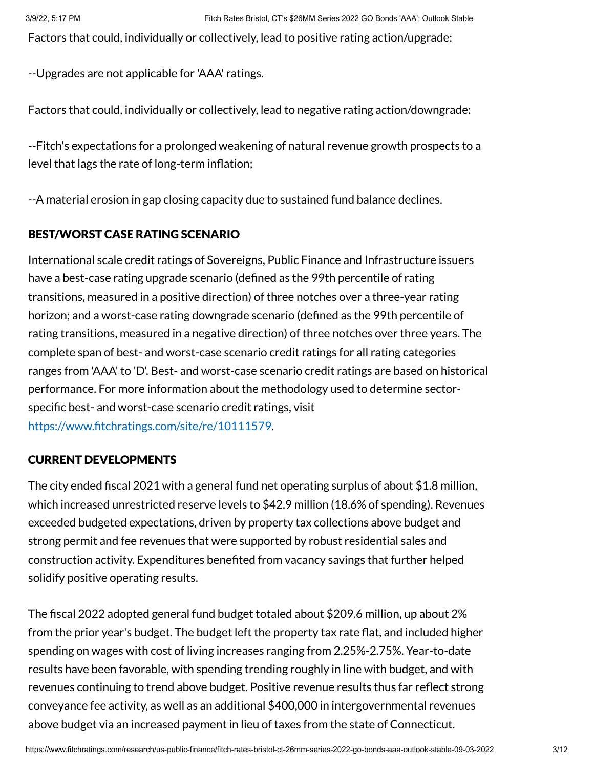Factors that could, individually or collectively, lead to positive rating action/upgrade:

--Upgrades are not applicable for 'AAA' ratings.

Factors that could, individually or collectively, lead to negative rating action/downgrade:

--Fitch's expectations for a prolonged weakening of natural revenue growth prospects to a level that lags the rate of long-term inflation;

--A material erosion in gap closing capacity due to sustained fund balance declines.

# BEST/WORST CASE RATING SCENARIO

International scale credit ratings of Sovereigns, Public Finance and Infrastructure issuers have a best-case rating upgrade scenario (defined as the 99th percentile of rating transitions, measured in a positive direction) of three notches over a three-year rating horizon; and a worst-case rating downgrade scenario (defined as the 99th percentile of rating transitions, measured in a negative direction) of three notches over three years. The complete span of best- and worst-case scenario credit ratings for all rating categories ranges from 'AAA' to 'D'. Best- and worst-case scenario credit ratings are based on historical performance. For more information about the methodology used to determine sectorspecific best- and worst-case scenario credit ratings, visit [https://www.fitchratings.com/site/re/10111579.](https://www.fitchratings.com/site/re/10111579)

# CURRENT DEVELOPMENTS

The city ended fiscal 2021 with a general fund net operating surplus of about \$1.8 million, which increased unrestricted reserve levels to \$42.9 million (18.6% of spending). Revenues exceeded budgeted expectations, driven by property tax collections above budget and strong permit and fee revenues that were supported by robust residential sales and construction activity. Expenditures benefited from vacancy savings that further helped solidify positive operating results.

The fiscal 2022 adopted general fund budget totaled about \$209.6 million, up about 2% from the prior year's budget. The budget left the property tax rate flat, and included higher spending on wages with cost of living increases ranging from 2.25%-2.75%. Year-to-date results have been favorable, with spending trending roughly in line with budget, and with revenues continuing to trend above budget. Positive revenue results thus far reflect strong conveyance fee activity, as well as an additional \$400,000 in intergovernmental revenues above budget via an increased payment in lieu of taxes from the state of Connecticut.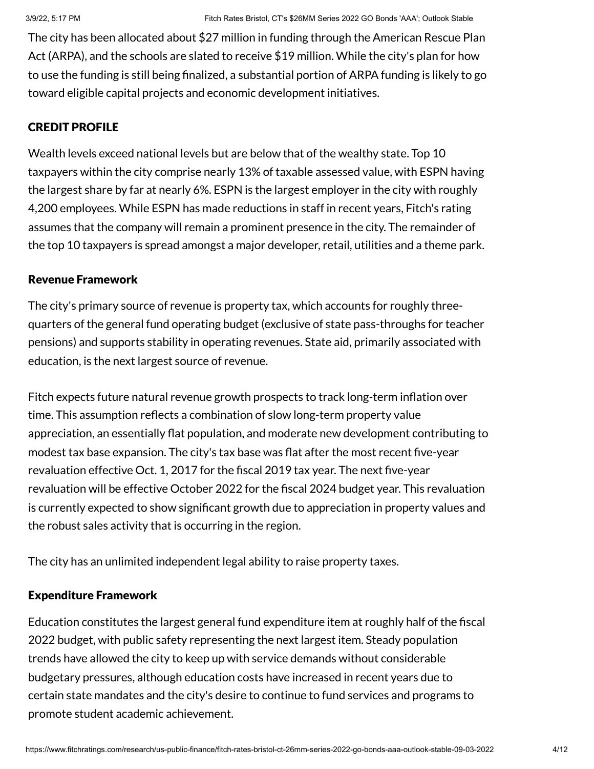The city has been allocated about \$27 million in funding through the American Rescue Plan Act (ARPA), and the schools are slated to receive \$19 million. While the city's plan for how to use the funding is still being finalized, a substantial portion of ARPA funding is likely to go toward eligible capital projects and economic development initiatives.

# CREDIT PROFILE

Wealth levels exceed national levels but are below that of the wealthy state. Top 10 taxpayers within the city comprise nearly 13% of taxable assessed value, with ESPN having the largest share by far at nearly 6%. ESPN is the largest employer in the city with roughly 4,200 employees. While ESPN has made reductions in staff in recent years, Fitch's rating assumes that the company will remain a prominent presence in the city. The remainder of the top 10 taxpayers is spread amongst a major developer, retail, utilities and a theme park.

# Revenue Framework

The city's primary source of revenue is property tax, which accounts for roughly threequarters of the general fund operating budget (exclusive of state pass-throughs for teacher pensions) and supports stability in operating revenues. State aid, primarily associated with education, is the next largest source of revenue.

Fitch expects future natural revenue growth prospects to track long-term inflation over time. This assumption reflects a combination of slow long-term property value appreciation, an essentially flat population, and moderate new development contributing to modest tax base expansion. The city's tax base was flat after the most recent five-year revaluation effective Oct. 1, 2017 for the fiscal 2019 tax year. The next five-year revaluation will be effective October 2022 for the fiscal 2024 budget year. This revaluation is currently expected to show significant growth due to appreciation in property values and the robust sales activity that is occurring in the region.

The city has an unlimited independent legal ability to raise property taxes.

# Expenditure Framework

Education constitutes the largest general fund expenditure item at roughly half of the fiscal 2022 budget, with public safety representing the next largest item. Steady population trends have allowed the city to keep up with service demands without considerable budgetary pressures, although education costs have increased in recent years due to certain state mandates and the city's desire to continue to fund services and programs to promote student academic achievement.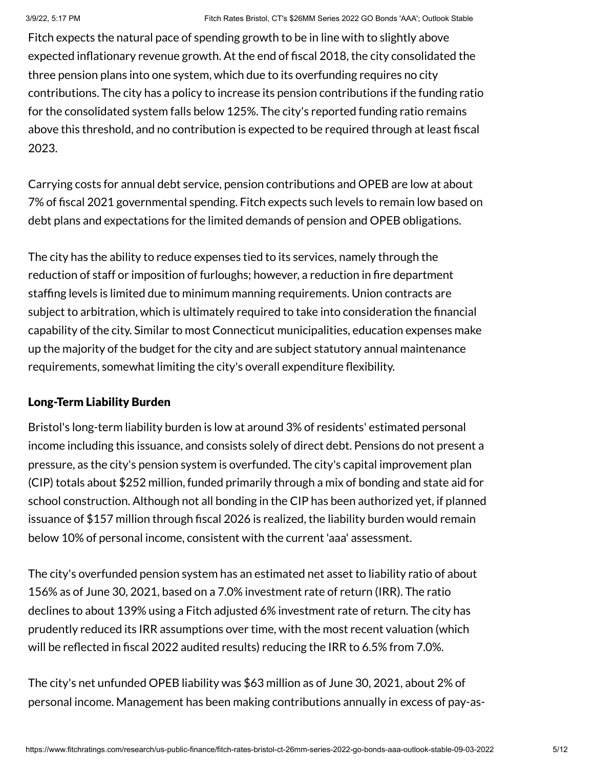Fitch expects the natural pace of spending growth to be in line with to slightly above expected inflationary revenue growth. At the end of fiscal 2018, the city consolidated the three pension plans into one system, which due to its overfunding requires no city contributions. The city has a policy to increase its pension contributions if the funding ratio for the consolidated system falls below 125%. The city's reported funding ratio remains above this threshold, and no contribution is expected to be required through at least fiscal 2023.

Carrying costs for annual debt service, pension contributions and OPEB are low at about 7% of fiscal 2021 governmental spending. Fitch expects such levels to remain low based on debt plans and expectations for the limited demands of pension and OPEB obligations.

The city has the ability to reduce expenses tied to its services, namely through the reduction of staff or imposition of furloughs; however, a reduction in fire department staffing levels is limited due to minimum manning requirements. Union contracts are subject to arbitration, which is ultimately required to take into consideration the financial capability of the city. Similar to most Connecticut municipalities, education expenses make up the majority of the budget for the city and are subject statutory annual maintenance requirements, somewhat limiting the city's overall expenditure flexibility.

# Long-Term Liability Burden

Bristol's long-term liability burden is low at around 3% of residents' estimated personal income including this issuance, and consists solely of direct debt. Pensions do not present a pressure, as the city's pension system is overfunded. The city's capital improvement plan (CIP) totals about \$252 million, funded primarily through a mix of bonding and state aid for school construction. Although not all bonding in the CIP has been authorized yet, if planned issuance of \$157 million through fiscal 2026 is realized, the liability burden would remain below 10% of personal income, consistent with the current 'aaa' assessment.

The city's overfunded pension system has an estimated net asset to liability ratio of about 156% as of June 30, 2021, based on a 7.0% investment rate of return (IRR). The ratio declines to about 139% using a Fitch adjusted 6% investment rate of return. The city has prudently reduced its IRR assumptions over time, with the most recent valuation (which will be reflected in fiscal 2022 audited results) reducing the IRR to 6.5% from 7.0%.

The city's net unfunded OPEB liability was \$63 million as of June 30, 2021, about 2% of personal income. Management has been making contributions annually in excess of pay-as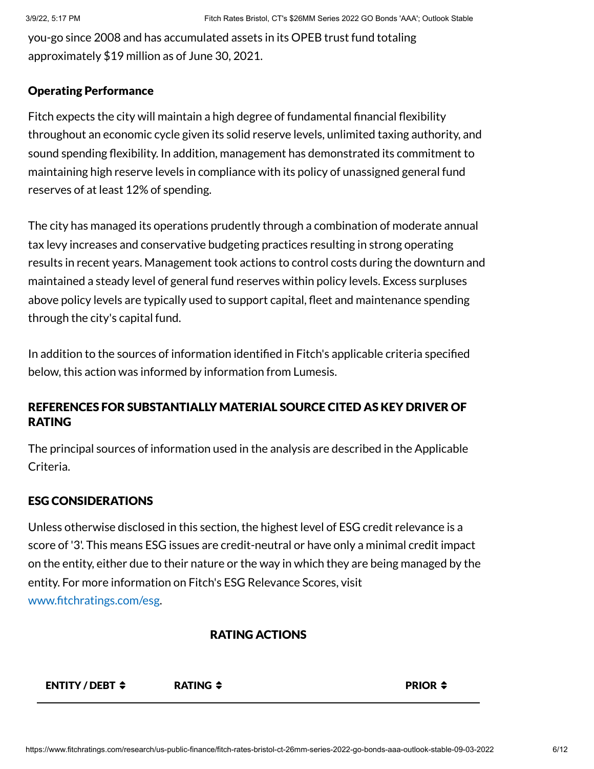you-go since 2008 and has accumulated assets in its OPEB trust fund totaling approximately \$19 million as of June 30, 2021.

#### Operating Performance

Fitch expects the city will maintain a high degree of fundamental financial flexibility throughout an economic cycle given its solid reserve levels, unlimited taxing authority, and sound spending flexibility. In addition, management has demonstrated its commitment to maintaining high reserve levels in compliance with its policy of unassigned general fund reserves of at least 12% of spending.

The city has managed its operations prudently through a combination of moderate annual tax levy increases and conservative budgeting practices resulting in strong operating results in recent years. Management took actions to control costs during the downturn and maintained a steady level of general fund reserves within policy levels. Excess surpluses above policy levels are typically used to support capital, fleet and maintenance spending through the city's capital fund.

In addition to the sources of information identified in Fitch's applicable criteria specified below, this action was informed by information from Lumesis.

# REFERENCES FOR SUBSTANTIALLY MATERIAL SOURCE CITED AS KEY DRIVER OF RATING

The principal sources of information used in the analysis are described in the Applicable Criteria.

#### ESG CONSIDERATIONS

Unless otherwise disclosed in this section, the highest level of ESG credit relevance is a score of '3'. This means ESG issues are credit-neutral or have only a minimal credit impact on the entity, either due to their nature or the way in which they are being managed by the entity. For more information on Fitch's ESG Relevance Scores, visit [www.fitchratings.com/esg.](http://www.fitchratings.com/esg)

#### RATING ACTIONS

#### ENTITY / DEBT  $\div$  RATING  $\div$  Research and the PRIOR  $\div$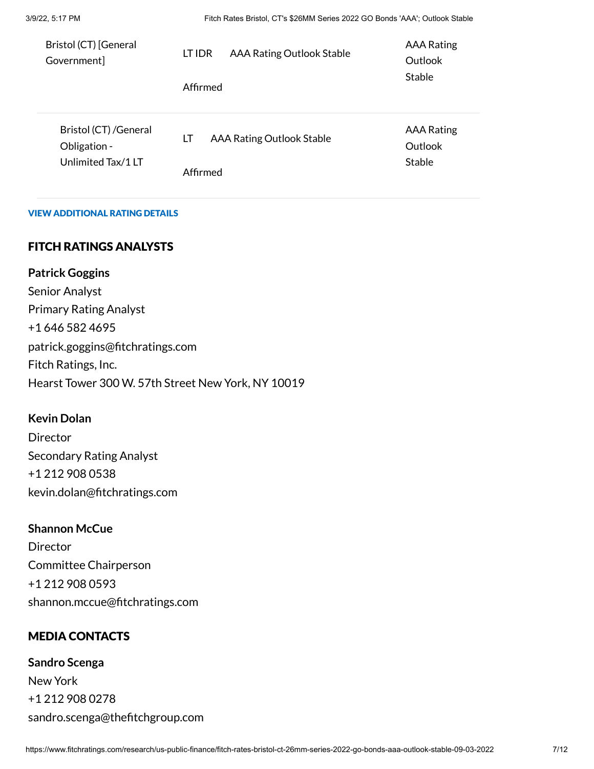3/9/22, 5:17 PM Fitch Rates Bristol, CT's \$26MM Series 2022 GO Bonds 'AAA'; Outlook Stable

| Bristol (CT) [General<br>Government]                        | LT IDR<br>Affirmed | <b>AAA Rating Outlook Stable</b> | <b>AAA Rating</b><br>Outlook<br><b>Stable</b> |
|-------------------------------------------------------------|--------------------|----------------------------------|-----------------------------------------------|
| Bristol (CT) / General<br>Obligation -<br>Unlimited Tax/1LT | LT<br>Affirmed     | <b>AAA Rating Outlook Stable</b> | <b>AAA Rating</b><br>Outlook<br><b>Stable</b> |

#### VIEW ADDITIONAL RATING DETAILS

# FITCH RATINGS ANALYSTS

**Patrick Goggins** Senior Analyst Primary Rating Analyst +1 646 582 4695 patrick.goggins@fitchratings.com Fitch Ratings, Inc. Hearst Tower 300 W. 57th Street New York, NY 10019

#### **Kevin Dolan**

**Director** Secondary Rating Analyst +1 212 908 0538 kevin.dolan@fitchratings.com

# **Shannon McCue**

**Director** Committee Chairperson +1 212 908 0593 shannon.mccue@fitchratings.com

# MEDIA CONTACTS

**Sandro Scenga** New York +1 212 908 0278 sandro.scenga@thefitchgroup.com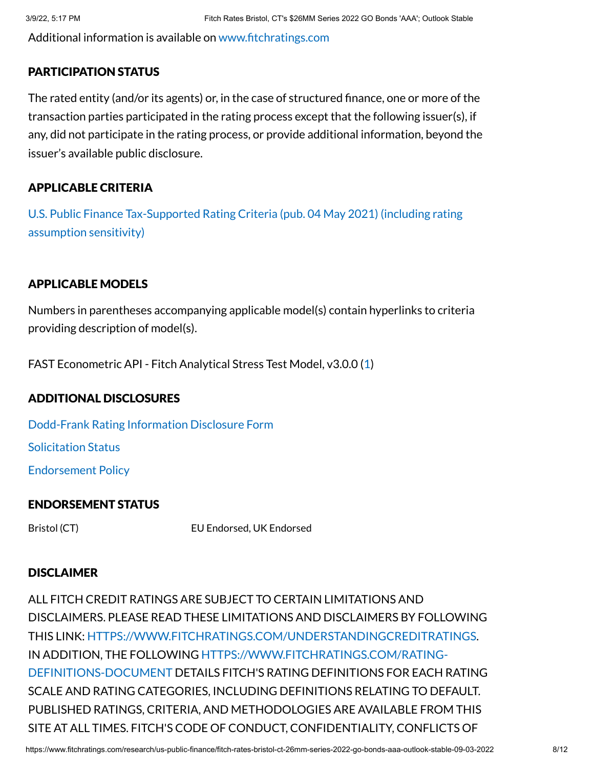Additional information is available on [www.fitchratings.com](http://www.fitchratings.com/)

# PARTICIPATION STATUS

The rated entity (and/or its agents) or, in the case of structured finance, one or more of the transaction parties participated in the rating process except that the following issuer(s), if any, did not participate in the rating process, or provide additional information, beyond the issuer's available public disclosure.

# APPLICABLE CRITERIA

U.S. Public Finance [Tax-Supported Rating](https://www.fitchratings.com/research/us-public-finance/us-public-finance-tax-supported-rating-criteria-04-05-2021) Criteria (pub. 04 May 2021) (including rating assumption sensitivity)

# APPLICABLE MODELS

Numbers in parentheses accompanying applicable model(s) contain hyperlinks to criteria providing description of model(s).

FAST Econometric API - Fitch Analytical Stress Test Model, v3.0.0 [\(1](https://www.fitchratings.com/research/us-public-finance/us-public-finance-tax-supported-rating-criteria-04-05-2021))

# ADDITIONAL DISCLOSURES

[Dodd-Frank](https://www.fitchratings.com/research/us-public-finance/fitch-rates-bristol-ct-26mm-series-2022-go-bonds-aaa-outlook-stable-09-03-2022/dodd-frank-disclosure) Rating Information Disclosure Form

Solicitation Status

[Endorsement](#page-10-0) Policy

# ENDORSEMENT STATUS

Bristol (CT) EU Endorsed, UK Endorsed

# **DISCLAIMER**

ALL FITCH CREDIT RATINGS ARE SUBJECT TO CERTAIN LIMITATIONS AND DISCLAIMERS. PLEASE READ THESE LIMITATIONS AND DISCLAIMERS BY FOLLOWING THIS LINK: [HTTPS://WWW.FITCHRATINGS.COM/UNDERSTANDINGCREDITRATINGS](https://www.fitchratings.com/UNDERSTANDINGCREDITRATINGS). IN ADDITION, THE FOLLOWING [HTTPS://WWW.FITCHRATINGS.COM/RATING-](https://www.fitchratings.com/rating-definitions-document)DEFINITIONS-DOCUMENT DETAILS FITCH'S RATING DEFINITIONS FOR EACH RATING SCALE AND RATING CATEGORIES, INCLUDING DEFINITIONS RELATING TO DEFAULT. PUBLISHED RATINGS, CRITERIA, AND METHODOLOGIES ARE AVAILABLE FROM THIS SITE AT ALL TIMES. FITCH'S CODE OF CONDUCT, CONFIDENTIALITY, CONFLICTS OF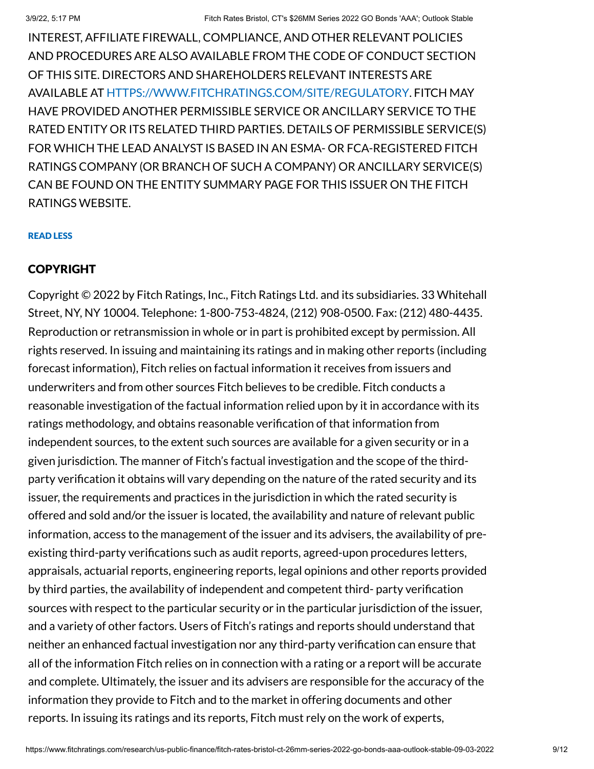INTEREST, AFFILIATE FIREWALL, COMPLIANCE, AND OTHER RELEVANT POLICIES AND PROCEDURES ARE ALSO AVAILABLE FROM THE CODE OF CONDUCT SECTION OF THIS SITE. DIRECTORS AND SHAREHOLDERS RELEVANT INTERESTS ARE AVAILABLE AT [HTTPS://WWW.FITCHRATINGS.COM/SITE/REGULATORY](https://www.fitchratings.com/site/regulatory). FITCH MAY HAVE PROVIDED ANOTHER PERMISSIBLE SERVICE OR ANCILLARY SERVICE TO THE RATED ENTITY OR ITS RELATED THIRD PARTIES. DETAILS OF PERMISSIBLE SERVICE(S) FOR WHICH THE LEAD ANALYST IS BASED IN AN ESMA- OR FCA-REGISTERED FITCH RATINGS COMPANY (OR BRANCH OF SUCH A COMPANY) OR ANCILLARY SERVICE(S) CAN BE FOUND ON THE ENTITY SUMMARY PAGE FOR THIS ISSUER ON THE FITCH RATINGS WEBSITE.

#### READ LESS

# COPYRIGHT

Copyright © 2022 by Fitch Ratings, Inc., Fitch Ratings Ltd. and its subsidiaries. 33 Whitehall Street, NY, NY 10004. Telephone: 1-800-753-4824, (212) 908-0500. Fax: (212) 480-4435. Reproduction or retransmission in whole or in part is prohibited except by permission. All rights reserved. In issuing and maintaining its ratings and in making other reports (including forecast information), Fitch relies on factual information it receives from issuers and underwriters and from other sources Fitch believes to be credible. Fitch conducts a reasonable investigation of the factual information relied upon by it in accordance with its ratings methodology, and obtains reasonable verification of that information from independent sources, to the extent such sources are available for a given security or in a given jurisdiction. The manner of Fitch's factual investigation and the scope of the thirdparty verification it obtains will vary depending on the nature of the rated security and its issuer, the requirements and practices in the jurisdiction in which the rated security is offered and sold and/or the issuer is located, the availability and nature of relevant public information, access to the management of the issuer and its advisers, the availability of preexisting third-party verifications such as audit reports, agreed-upon procedures letters, appraisals, actuarial reports, engineering reports, legal opinions and other reports provided by third parties, the availability of independent and competent third- party verification sources with respect to the particular security or in the particular jurisdiction of the issuer, and a variety of other factors. Users of Fitch's ratings and reports should understand that neither an enhanced factual investigation nor any third-party verification can ensure that all of the information Fitch relies on in connection with a rating or a report will be accurate and complete. Ultimately, the issuer and its advisers are responsible for the accuracy of the information they provide to Fitch and to the market in offering documents and other reports. In issuing its ratings and its reports, Fitch must rely on the work of experts,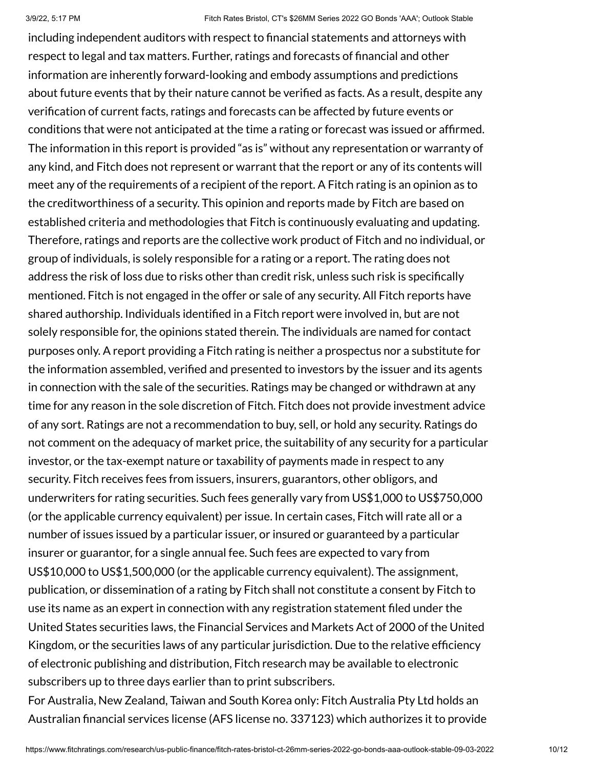including independent auditors with respect to financial statements and attorneys with respect to legal and tax matters. Further, ratings and forecasts of financial and other information are inherently forward-looking and embody assumptions and predictions about future events that by their nature cannot be verified as facts. As a result, despite any verification of current facts, ratings and forecasts can be affected by future events or conditions that were not anticipated at the time a rating or forecast was issued or affirmed. The information in this report is provided "as is" without any representation or warranty of any kind, and Fitch does not represent or warrant that the report or any of its contents will meet any of the requirements of a recipient of the report. A Fitch rating is an opinion as to the creditworthiness of a security. This opinion and reports made by Fitch are based on established criteria and methodologies that Fitch is continuously evaluating and updating. Therefore, ratings and reports are the collective work product of Fitch and no individual, or group of individuals, is solely responsible for a rating or a report. The rating does not address the risk of loss due to risks other than credit risk, unless such risk is specifically mentioned. Fitch is not engaged in the offer or sale of any security. All Fitch reports have shared authorship. Individuals identified in a Fitch report were involved in, but are not solely responsible for, the opinions stated therein. The individuals are named for contact purposes only. A report providing a Fitch rating is neither a prospectus nor a substitute for the information assembled, verified and presented to investors by the issuer and its agents in connection with the sale of the securities. Ratings may be changed or withdrawn at any time for any reason in the sole discretion of Fitch. Fitch does not provide investment advice of any sort. Ratings are not a recommendation to buy, sell, or hold any security. Ratings do not comment on the adequacy of market price, the suitability of any security for a particular investor, or the tax-exempt nature or taxability of payments made in respect to any security. Fitch receives fees from issuers, insurers, guarantors, other obligors, and underwriters for rating securities. Such fees generally vary from US\$1,000 to US\$750,000 (or the applicable currency equivalent) per issue. In certain cases, Fitch will rate all or a number of issues issued by a particular issuer, or insured or guaranteed by a particular insurer or guarantor, for a single annual fee. Such fees are expected to vary from US\$10,000 to US\$1,500,000 (or the applicable currency equivalent). The assignment, publication, or dissemination of a rating by Fitch shall not constitute a consent by Fitch to use its name as an expert in connection with any registration statement filed under the United States securities laws, the Financial Services and Markets Act of 2000 of the United Kingdom, or the securities laws of any particular jurisdiction. Due to the relative efficiency of electronic publishing and distribution, Fitch research may be available to electronic subscribers up to three days earlier than to print subscribers.

For Australia, New Zealand, Taiwan and South Korea only: Fitch Australia Pty Ltd holds an Australian financial services license (AFS license no. 337123) which authorizes it to provide